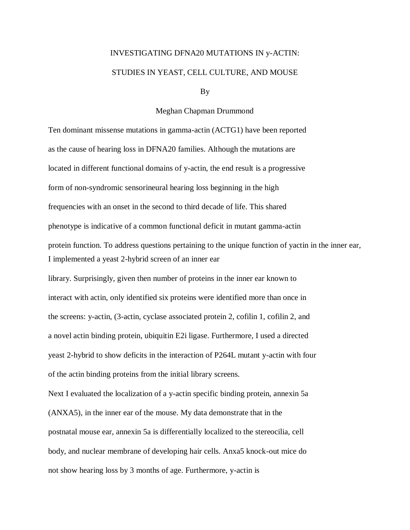## INVESTIGATING DFNA20 MUTATIONS IN y-ACTIN: STUDIES IN YEAST, CELL CULTURE, AND MOUSE

By

## Meghan Chapman Drummond

Ten dominant missense mutations in gamma-actin (ACTG1) have been reported as the cause of hearing loss in DFNA20 families. Although the mutations are located in different functional domains of y-actin, the end result is a progressive form of non-syndromic sensorineural hearing loss beginning in the high frequencies with an onset in the second to third decade of life. This shared phenotype is indicative of a common functional deficit in mutant gamma-actin protein function. To address questions pertaining to the unique function of yactin in the inner ear, I implemented a yeast 2-hybrid screen of an inner ear library. Surprisingly, given then number of proteins in the inner ear known to interact with actin, only identified six proteins were identified more than once in the screens: y-actin, (3-actin, cyclase associated protein 2, cofilin 1, cofilin 2, and a novel actin binding protein, ubiquitin E2i ligase. Furthermore, I used a directed yeast 2-hybrid to show deficits in the interaction of P264L mutant y-actin with four of the actin binding proteins from the initial library screens. Next I evaluated the localization of a y-actin specific binding protein, annexin 5a (ANXA5), in the inner ear of the mouse. My data demonstrate that in the postnatal mouse ear, annexin 5a is differentially localized to the stereocilia, cell

body, and nuclear membrane of developing hair cells. Anxa5 knock-out mice do not show hearing loss by 3 months of age. Furthermore, y-actin is